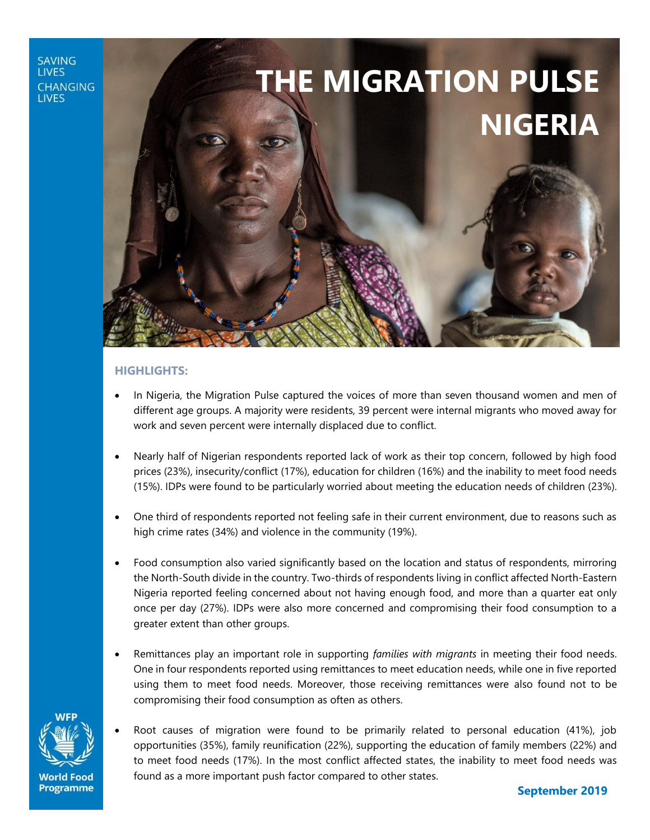#### **SAVING LIVES CHANGING LIVES**

# **THE MIGRATION PULSE NIGERIA**

#### **HIGHLIGHTS:**

- In Nigeria, the Migration Pulse captured the voices of more than seven thousand women and men of different age groups. A majority were residents, 39 percent were internal migrants who moved away for work and seven percent were internally displaced due to conflict.
- Nearly half of Nigerian respondents reported lack of work as their top concern, followed by high food prices (23%), insecurity/conflict (17%), education for children (16%) and the inability to meet food needs (15%). IDPs were found to be particularly worried about meeting the education needs of children (23%).
- One third of respondents reported not feeling safe in their current environment, due to reasons such as high crime rates (34%) and violence in the community (19%).
- Food consumption also varied significantly based on the location and status of respondents, mirroring the North-South divide in the country. Two-thirds of respondents living in conflict affected North-Eastern Nigeria reported feeling concerned about not having enough food, and more than a quarter eat only once per day (27%). IDPs were also more concerned and compromising their food consumption to a greater extent than other groups.
- Remittances play an important role in supporting *families with migrants* in meeting their food needs. One in four respondents reported using remittances to meet education needs, while one in five reported using them to meet food needs. Moreover, those receiving remittances were also found not to be compromising their food consumption as often as others.



World Food **Programme**  • Root causes of migration were found to be primarily related to personal education (41%), job opportunities (35%), family reunification (22%), supporting the education of family members (22%) and to meet food needs (17%). In the most conflict affected states, the inability to meet food needs was found as a more important push factor compared to other states.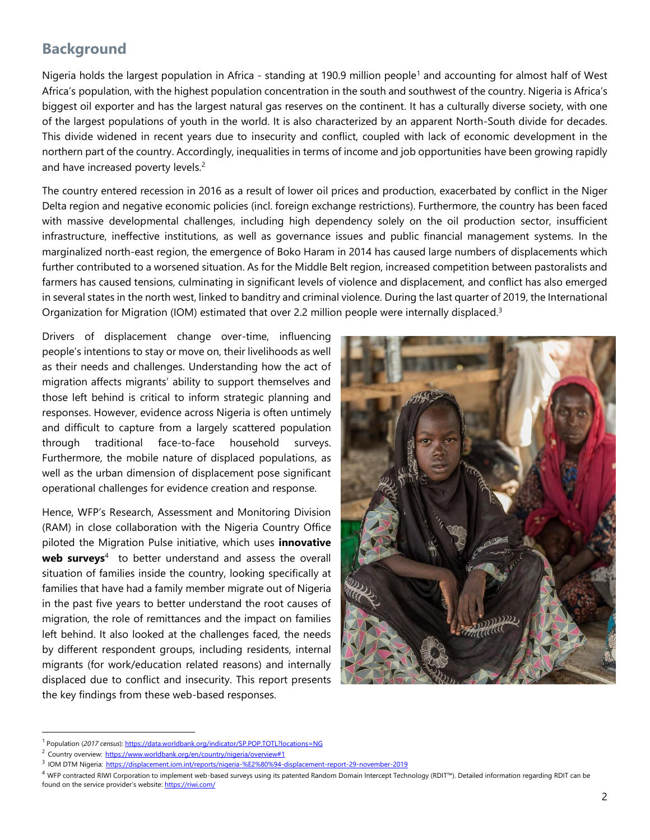#### **Background**

Nigeria holds the largest population in Africa - standing at 190.9 million people<sup>1</sup> and accounting for almost half of West Africa's population, with the highest population concentration in the south and southwest of the country. Nigeria is Africa's biggest oil exporter and has the largest natural gas reserves on the continent. It has a culturally diverse society, with one of the largest populations of youth in the world. It is also characterized by an apparent North-South divide for decades. This divide widened in recent years due to insecurity and conflict, coupled with lack of economic development in the northern part of the country. Accordingly, inequalities in terms of income and job opportunities have been growing rapidly and have increased poverty levels.<sup>2</sup>

The country entered recession in 2016 as a result of lower oil prices and production, exacerbated by conflict in the Niger Delta region and negative economic policies (incl. foreign exchange restrictions). Furthermore, the country has been faced with massive developmental challenges, including high dependency solely on the oil production sector, insufficient infrastructure, ineffective institutions, as well as governance issues and public financial management systems. In the marginalized north-east region, the emergence of Boko Haram in 2014 has caused large numbers of displacements which further contributed to a worsened situation. As for the Middle Belt region, increased competition between pastoralists and farmers has caused tensions, culminating in significant levels of violence and displacement, and conflict has also emerged in several states in the north west, linked to banditry and criminal violence. During the last quarter of 2019, the International Organization for Migration (IOM) estimated that over 2.2 million people were internally displaced.<sup>3</sup>

Drivers of displacement change over-time, influencing people's intentions to stay or move on, their livelihoods as well as their needs and challenges. Understanding how the act of migration affects migrants' ability to support themselves and those left behind is critical to inform strategic planning and responses. However, evidence across Nigeria is often untimely and difficult to capture from a largely scattered population through traditional face-to-face household surveys. Furthermore, the mobile nature of displaced populations, as well as the urban dimension of displacement pose significant operational challenges for evidence creation and response.

Hence, WFP's Research, Assessment and Monitoring Division (RAM) in close collaboration with the Nigeria Country Office piloted the Migration Pulse initiative, which uses **innovative** web surveys<sup>4</sup> to better understand and assess the overall situation of families inside the country, looking specifically at families that have had a family member migrate out of Nigeria in the past five years to better understand the root causes of migration, the role of remittances and the impact on families left behind. It also looked at the challenges faced, the needs by different respondent groups, including residents, internal migrants (for work/education related reasons) and internally displaced due to conflict and insecurity. This report presents the key findings from these web-based responses.



 $\overline{a}$ 

<sup>&</sup>lt;sup>1</sup> Population (2017 census)[: https://data.worldbank.org/indicator/SP.POP.TOTL?locations=NG](https://data.worldbank.org/indicator/SP.POP.TOTL?locations=NG)

<sup>&</sup>lt;sup>2</sup> Country overview: <https://www.worldbank.org/en/country/nigeria/overview#1>

<sup>3</sup> IOM DTM Nigeria: <https://displacement.iom.int/reports/nigeria-%E2%80%94-displacement-report-29-november-2019>

<sup>4</sup> WFP contracted RIWI Corporation to implement web-based surveys using its patented Random Domain Intercept Technology (RDIT™). Detailed information regarding RDIT can be found on the service provider's website: <https://riwi.com/>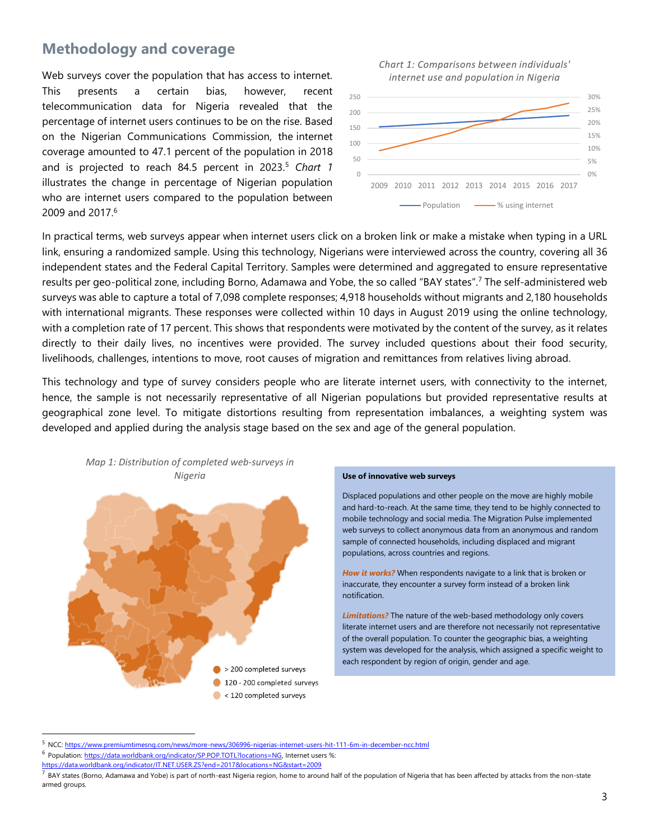#### **Methodology and coverage**

Web surveys cover the population that has access to internet. This presents a certain bias, however, recent telecommunication data for Nigeria revealed that the percentage of internet users continues to be on the rise. Based on the Nigerian Communications Commission, the internet coverage amounted to 47.1 percent of the population in 2018 and is projected to reach 84.5 percent in 2023.<sup>5</sup> *Chart 1* illustrates the change in percentage of Nigerian population who are internet users compared to the population between 2009 and 2017.<sup>6</sup>





In practical terms, web surveys appear when internet users click on a broken link or make a mistake when typing in a URL link, ensuring a randomized sample. Using this technology, Nigerians were interviewed across the country, covering all 36 independent states and the Federal Capital Territory. Samples were determined and aggregated to ensure representative results per geo-political zone, including Borno, Adamawa and Yobe, the so called "BAY states". <sup>7</sup> The self-administered web surveys was able to capture a total of 7,098 complete responses; 4,918 households without migrants and 2,180 households with international migrants. These responses were collected within 10 days in August 2019 using the online technology, with a completion rate of 17 percent. This shows that respondents were motivated by the content of the survey, as it relates directly to their daily lives, no incentives were provided. The survey included questions about their food security, livelihoods, challenges, intentions to move, root causes of migration and remittances from relatives living abroad.

This technology and type of survey considers people who are literate internet users, with connectivity to the internet, hence, the sample is not necessarily representative of all Nigerian populations but provided representative results at geographical zone level. To mitigate distortions resulting from representation imbalances, a weighting system was developed and applied during the analysis stage based on the sex and age of the general population.



Displaced populations and other people on the move are highly mobile and hard-to-reach. At the same time, they tend to be highly connected to mobile technology and social media. The Migration Pulse implemented web surveys to collect anonymous data from an anonymous and random sample of connected households, including displaced and migrant populations, across countries and regions.

*How it works?* When respondents navigate to a link that is broken or inaccurate, they encounter a survey form instead of a broken link notification.

*Limitations?* The nature of the web-based methodology only covers literate internet users and are therefore not necessarily not representative of the overall population. To counter the geographic bias, a weighting system was developed for the analysis, which assigned a specific weight to each respondent by region of origin, gender and age.

l

<sup>5</sup> NCC: <https://www.premiumtimesng.com/news/more-news/306996-nigerias-internet-users-hit-111-6m-in-december-ncc.html>

<sup>&</sup>lt;sup>6</sup> Population[: https://data.worldbank.org/indicator/SP.POP.TOTL?locations=NG,](https://data.worldbank.org/indicator/SP.POP.TOTL?locations=NG) Internet users %:

<https://data.worldbank.org/indicator/IT.NET.USER.ZS?end=2017&locations=NG&start=2009>

 $^7$  BAY states (Borno, Adamawa and Yobe) is part of north-east Nigeria region, home to around half of the population of Nigeria that has been affected by attacks from the non-state armed groups.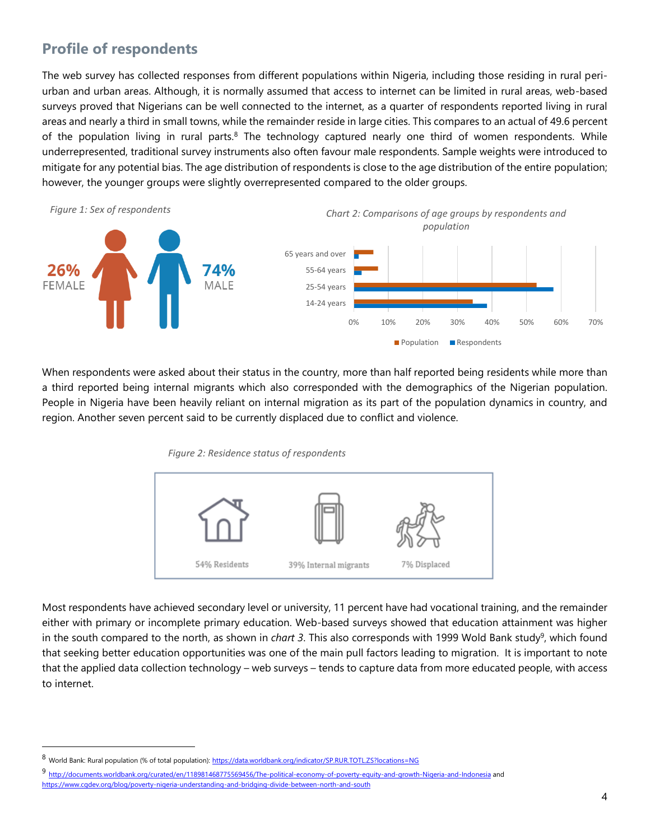# **Profile of respondents**

The web survey has collected responses from different populations within Nigeria, including those residing in rural periurban and urban areas. Although, it is normally assumed that access to internet can be limited in rural areas, web-based surveys proved that Nigerians can be well connected to the internet, as a quarter of respondents reported living in rural areas and nearly a third in small towns, while the remainder reside in large cities. This compares to an actual of 49.6 percent of the population living in rural parts.<sup>8</sup> The technology captured nearly one third of women respondents. While underrepresented, traditional survey instruments also often favour male respondents. Sample weights were introduced to mitigate for any potential bias. The age distribution of respondents is close to the age distribution of the entire population; however, the younger groups were slightly overrepresented compared to the older groups.



When respondents were asked about their status in the country, more than half reported being residents while more than a third reported being internal migrants which also corresponded with the demographics of the Nigerian population. People in Nigeria have been heavily reliant on internal migration as its part of the population dynamics in country, and region. Another seven percent said to be currently displaced due to conflict and violence.

*Figure 2: Residence status of respondents* 



Most respondents have achieved secondary level or university, 11 percent have had vocational training, and the remainder either with primary or incomplete primary education. Web-based surveys showed that education attainment was higher in the south compared to the north, as shown in *chart 3*. This also corresponds with 1999 Wold Bank study<sup>9</sup>, which found that seeking better education opportunities was one of the main pull factors leading to migration. It is important to note that the applied data collection technology – web surveys – tends to capture data from more educated people, with access to internet.

l

9 <http://documents.worldbank.org/curated/en/118981468775569456/The-political-economy-of-poverty-equity-and-growth-Nigeria-and-Indonesia> and <https://www.cgdev.org/blog/poverty-nigeria-understanding-and-bridging-divide-between-north-and-south>

<sup>8</sup> World Bank: Rural population (% of total population): <https://data.worldbank.org/indicator/SP.RUR.TOTL.ZS?locations=NG>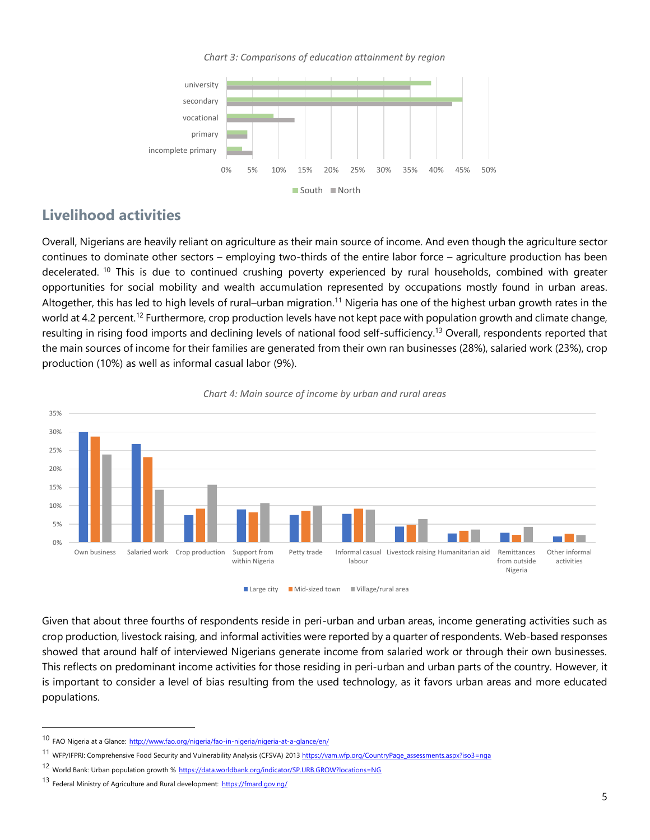*Chart 3: Comparisons of education attainment by region* 



#### **Livelihood activities**

Overall, Nigerians are heavily reliant on agriculture as their main source of income. And even though the agriculture sector continues to dominate other sectors – employing two-thirds of the entire labor force – agriculture production has been decelerated. <sup>10</sup> This is due to continued crushing poverty experienced by rural households, combined with greater opportunities for social mobility and wealth accumulation represented by occupations mostly found in urban areas. Altogether, this has led to high levels of rural–urban migration.<sup>11</sup> Nigeria has one of the highest urban growth rates in the world at 4.2 percent.<sup>12</sup> Furthermore, crop production levels have not kept pace with population growth and climate change, resulting in rising food imports and declining levels of national food self-sufficiency.<sup>13</sup> Overall, respondents reported that the main sources of income for their families are generated from their own ran businesses (28%), salaried work (23%), crop production (10%) as well as informal casual labor (9%).



#### *Chart 4: Main source of income by urban and rural areas*

Large city Mid-sized town Village/rural area

Given that about three fourths of respondents reside in peri-urban and urban areas, income generating activities such as crop production, livestock raising, and informal activities were reported by a quarter of respondents. Web-based responses showed that around half of interviewed Nigerians generate income from salaried work or through their own businesses. This reflects on predominant income activities for those residing in peri-urban and urban parts of the country. However, it is important to consider a level of bias resulting from the used technology, as it favors urban areas and more educated populations.

l

<sup>10</sup> FAO Nigeria at a Glance: <http://www.fao.org/nigeria/fao-in-nigeria/nigeria-at-a-glance/en/>

<sup>11</sup> WFP/IFPRI: Comprehensive Food Security and Vulnerability Analysis (CFSVA) 201[3 https://vam.wfp.org/CountryPage\\_assessments.aspx?iso3=nga](https://vam.wfp.org/CountryPage_assessments.aspx?iso3=nga)

<sup>12</sup> World Bank: Urban population growth % <https://data.worldbank.org/indicator/SP.URB.GROW?locations=NG>

<sup>13</sup> Federal Ministry of Agriculture and Rural development: <https://fmard.gov.ng/>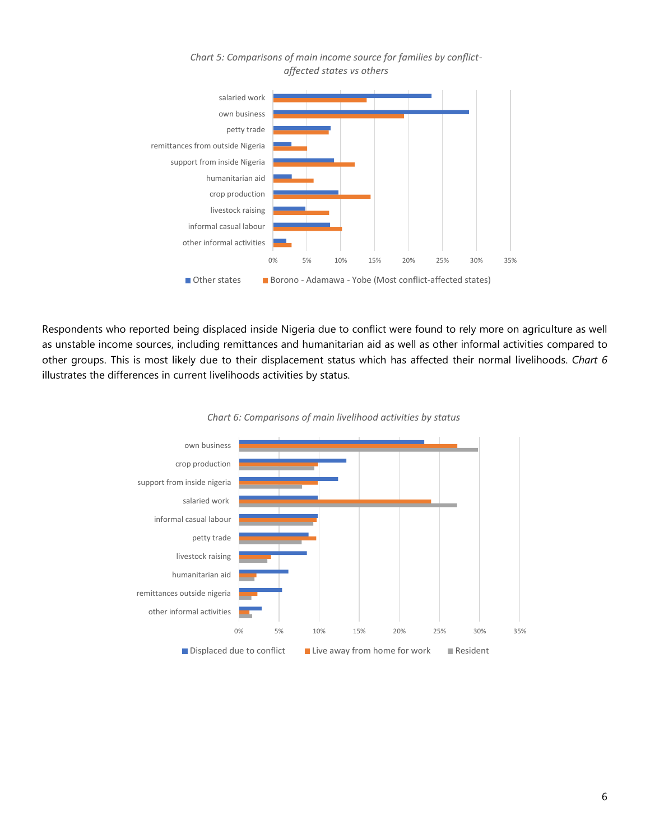

*Chart 5: Comparisons of main income source for families by conflictaffected states vs others*

Respondents who reported being displaced inside Nigeria due to conflict were found to rely more on agriculture as well as unstable income sources, including remittances and humanitarian aid as well as other informal activities compared to other groups. This is most likely due to their displacement status which has affected their normal livelihoods. *Chart 6* illustrates the differences in current livelihoods activities by status.



*Chart 6: Comparisons of main livelihood activities by status*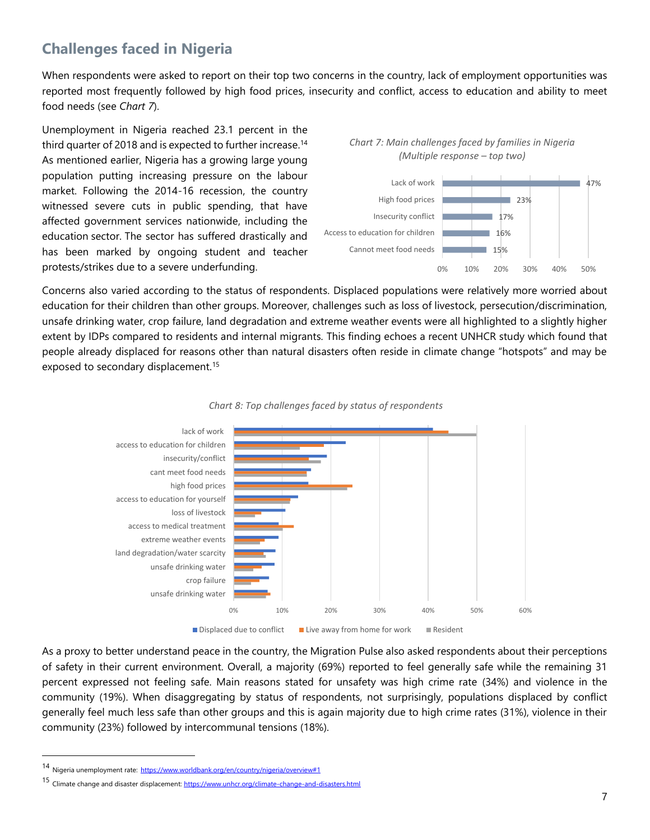# **Challenges faced in Nigeria**

When respondents were asked to report on their top two concerns in the country, lack of employment opportunities was reported most frequently followed by high food prices, insecurity and conflict, access to education and ability to meet food needs (see *Chart 7*).

Unemployment in Nigeria reached 23.1 percent in the third quarter of 2018 and is expected to further increase. 14 As mentioned earlier, Nigeria has a growing large young population putting increasing pressure on the labour market. Following the 2014-16 recession, the country witnessed severe cuts in public spending, that have affected government services nationwide, including the education sector. The sector has suffered drastically and has been marked by ongoing student and teacher protests/strikes due to a severe underfunding.





Concerns also varied according to the status of respondents. Displaced populations were relatively more worried about education for their children than other groups. Moreover, challenges such as loss of livestock, persecution/discrimination, unsafe drinking water, crop failure, land degradation and extreme weather events were all highlighted to a slightly higher extent by IDPs compared to residents and internal migrants. This finding echoes a recent UNHCR study which found that people already displaced for reasons other than natural disasters often reside in climate change "hotspots" and may be exposed to secondary displacement.<sup>15</sup>





As a proxy to better understand peace in the country, the Migration Pulse also asked respondents about their perceptions of safety in their current environment. Overall, a majority (69%) reported to feel generally safe while the remaining 31 percent expressed not feeling safe. Main reasons stated for unsafety was high crime rate (34%) and violence in the community (19%). When disaggregating by status of respondents, not surprisingly, populations displaced by conflict generally feel much less safe than other groups and this is again majority due to high crime rates (31%), violence in their community (23%) followed by intercommunal tensions (18%).

l

<sup>14</sup> Nigeria unemployment rate: <https://www.worldbank.org/en/country/nigeria/overview#1>

<sup>15</sup> Climate change and disaster displacement[: https://www.unhcr.org/climate-change-and-disasters.html](https://www.unhcr.org/climate-change-and-disasters.html)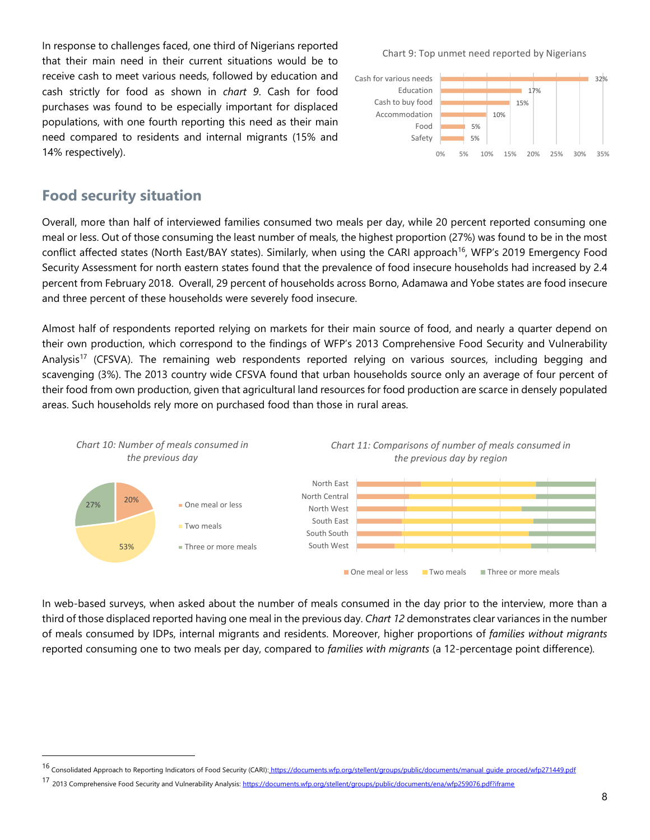In response to challenges faced, one third of Nigerians reported that their main need in their current situations would be to receive cash to meet various needs, followed by education and cash strictly for food as shown in *chart 9*. Cash for food purchases was found to be especially important for displaced populations, with one fourth reporting this need as their main need compared to residents and internal migrants (15% and 14% respectively).

Chart 9: Top unmet need reported by Nigerians



#### **Food security situation**

l

Overall, more than half of interviewed families consumed two meals per day, while 20 percent reported consuming one meal or less. Out of those consuming the least number of meals, the highest proportion (27%) was found to be in the most conflict affected states (North East/BAY states). Similarly, when using the CARI approach<sup>16</sup>, WFP's 2019 Emergency Food Security Assessment for north eastern states found that the prevalence of food insecure households had increased by 2.4 percent from February 2018. Overall, 29 percent of households across Borno, Adamawa and Yobe states are food insecure and three percent of these households were severely food insecure.

Almost half of respondents reported relying on markets for their main source of food, and nearly a quarter depend on their own production, which correspond to the findings of WFP's 2013 Comprehensive Food Security and Vulnerability Analysis<sup>17</sup> (CFSVA). The remaining web respondents reported relying on various sources, including begging and scavenging (3%). The 2013 country wide CFSVA found that urban households source only an average of four percent of their food from own production, given that agricultural land resources for food production are scarce in densely populated areas. Such households rely more on purchased food than those in rural areas.



In web-based surveys, when asked about the number of meals consumed in the day prior to the interview, more than a third of those displaced reported having one meal in the previous day. *Chart 12* demonstrates clear variances in the number of meals consumed by IDPs, internal migrants and residents. Moreover, higher proportions of *families without migrants*  reported consuming one to two meals per day, compared to *families with migrants* (a 12-percentage point difference)*.* 

<sup>16</sup> Consolidated Approach to Reporting Indicators of Food Security (CARI): [https://documents.wfp.org/stellent/groups/public/documents/manual\\_guide\\_proced/wfp271449.pdf](https://documents.wfp.org/stellent/groups/public/documents/manual_guide_proced/wfp271449.pdf)

<sup>17 2013</sup> Comprehensive Food Security and Vulnerability Analysis:<https://documents.wfp.org/stellent/groups/public/documents/ena/wfp259076.pdf?iframe>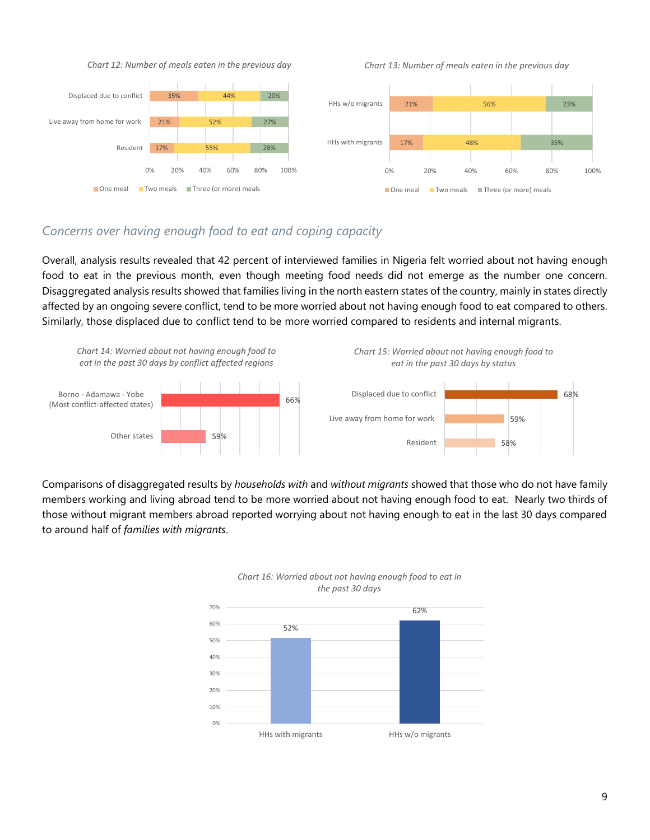

*Chart 13: Number of meals eaten in the previous day*



#### *Concerns over having enough food to eat and coping capacity*

Overall, analysis results revealed that 42 percent of interviewed families in Nigeria felt worried about not having enough food to eat in the previous month, even though meeting food needs did not emerge as the number one concern. Disaggregated analysis results showed that families living in the north eastern states of the country, mainly in states directly affected by an ongoing severe conflict, tend to be more worried about not having enough food to eat compared to others. Similarly, those displaced due to conflict tend to be more worried compared to residents and internal migrants.



Comparisons of disaggregated results by *households with* and *without migrants* showed that those who do not have family members working and living abroad tend to be more worried about not having enough food to eat. Nearly two thirds of those without migrant members abroad reported worrying about not having enough to eat in the last 30 days compared to around half of *families with migrants*.





68%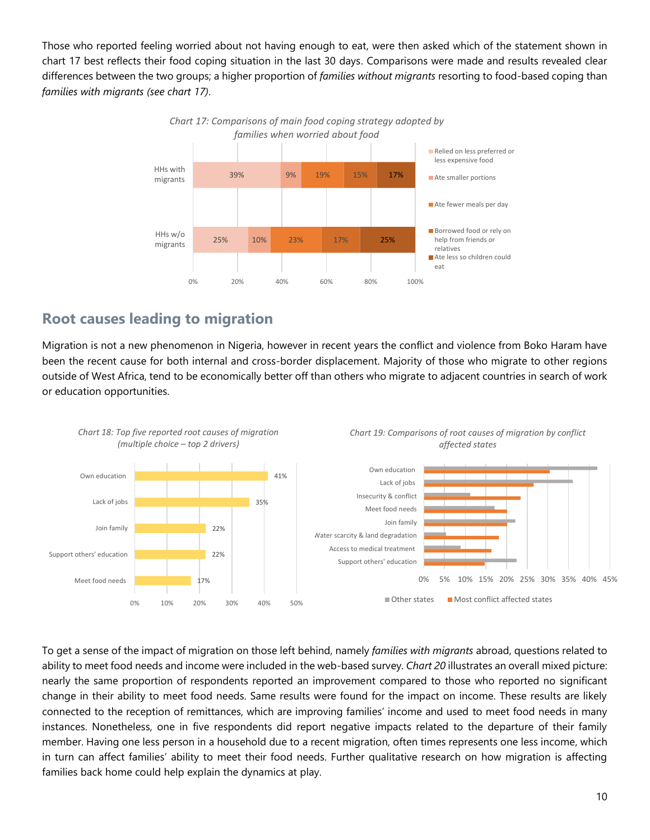Those who reported feeling worried about not having enough to eat, were then asked which of the statement shown in chart 17 best reflects their food coping situation in the last 30 days. Comparisons were made and results revealed clear differences between the two groups; a higher proportion of *families without migrants* resorting to food-based coping than *families with migrants (see chart 17)*.



# **Root causes leading to migration**

Migration is not a new phenomenon in Nigeria, however in recent years the conflict and violence from Boko Haram have been the recent cause for both internal and cross-border displacement. Majority of those who migrate to other regions outside of West Africa, tend to be economically better off than others who migrate to adjacent countries in search of work or education opportunities.



To get a sense of the impact of migration on those left behind, namely *families with migrants* abroad, questions related to ability to meet food needs and income were included in the web-based survey. *Chart 20* illustrates an overall mixed picture: nearly the same proportion of respondents reported an improvement compared to those who reported no significant change in their ability to meet food needs. Same results were found for the impact on income. These results are likely connected to the reception of remittances, which are improving families' income and used to meet food needs in many instances. Nonetheless, one in five respondents did report negative impacts related to the departure of their family member. Having one less person in a household due to a recent migration, often times represents one less income, which in turn can affect families' ability to meet their food needs. Further qualitative research on how migration is affecting families back home could help explain the dynamics at play.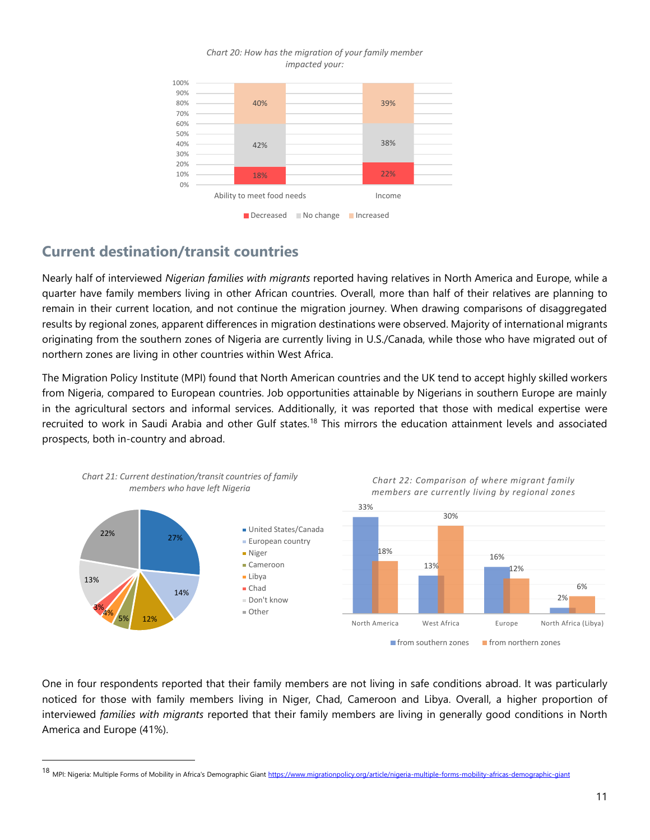

#### *Chart 20: How has the migration of your family member impacted your:*

# **Current destination/transit countries**

 $\overline{a}$ 

Nearly half of interviewed *Nigerian families with migrants* reported having relatives in North America and Europe, while a quarter have family members living in other African countries. Overall, more than half of their relatives are planning to remain in their current location, and not continue the migration journey. When drawing comparisons of disaggregated results by regional zones, apparent differences in migration destinations were observed. Majority of international migrants originating from the southern zones of Nigeria are currently living in U.S./Canada, while those who have migrated out of northern zones are living in other countries within West Africa.

The Migration Policy Institute (MPI) found that North American countries and the UK tend to accept highly skilled workers from Nigeria, compared to European countries. Job opportunities attainable by Nigerians in southern Europe are mainly in the agricultural sectors and informal services. Additionally, it was reported that those with medical expertise were recruited to work in Saudi Arabia and other Gulf states.<sup>18</sup> This mirrors the education attainment levels and associated prospects, both in-country and abroad.



One in four respondents reported that their family members are not living in safe conditions abroad. It was particularly noticed for those with family members living in Niger, Chad, Cameroon and Libya. Overall, a higher proportion of interviewed *families with migrants* reported that their family members are living in generally good conditions in North America and Europe (41%).

<sup>18</sup> MPI: Nigeria: Multiple Forms of Mobility in Africa's Demographic Giant <https://www.migrationpolicy.org/article/nigeria-multiple-forms-mobility-africas-demographic-giant>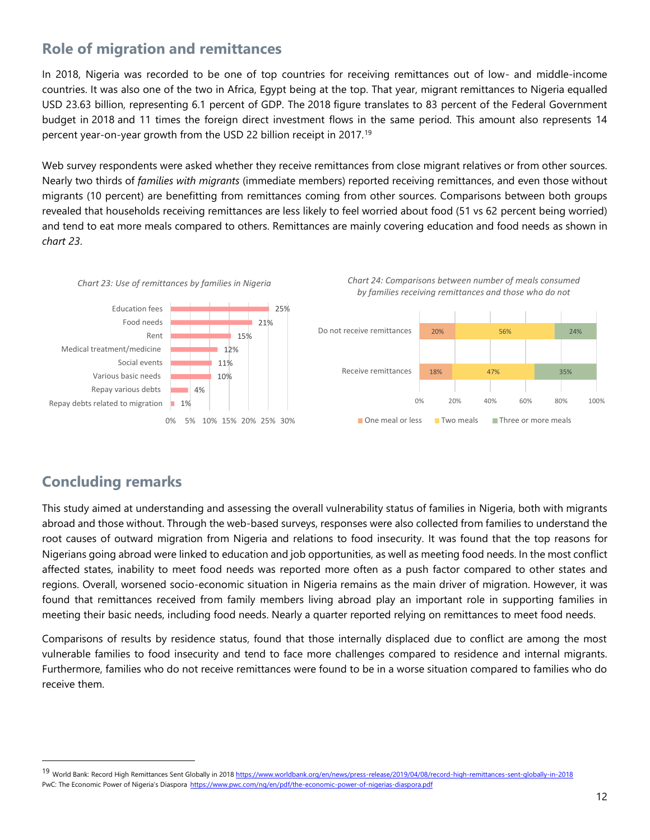# **Role of migration and remittances**

In 2018, Nigeria was recorded to be one of top countries for receiving remittances out of low- and middle-income countries. It was also one of the two in Africa, Egypt being at the top. That year, migrant remittances to Nigeria equalled USD 23.63 billion, representing 6.1 percent of GDP. The 2018 figure translates to 83 percent of the Federal Government budget in 2018 and 11 times the foreign direct investment flows in the same period. This amount also represents 14 percent year-on-year growth from the USD 22 billion receipt in 2017.<sup>19</sup>

Web survey respondents were asked whether they receive remittances from close migrant relatives or from other sources. Nearly two thirds of *families with migrants* (immediate members) reported receiving remittances, and even those without migrants (10 percent) are benefitting from remittances coming from other sources. Comparisons between both groups revealed that households receiving remittances are less likely to feel worried about food (51 vs 62 percent being worried) and tend to eat more meals compared to others. Remittances are mainly covering education and food needs as shown in *chart 23*.









# **Concluding remarks**

 $\overline{a}$ 

This study aimed at understanding and assessing the overall vulnerability status of families in Nigeria, both with migrants abroad and those without. Through the web-based surveys, responses were also collected from families to understand the root causes of outward migration from Nigeria and relations to food insecurity. It was found that the top reasons for Nigerians going abroad were linked to education and job opportunities, as well as meeting food needs. In the most conflict affected states, inability to meet food needs was reported more often as a push factor compared to other states and regions. Overall, worsened socio-economic situation in Nigeria remains as the main driver of migration. However, it was found that remittances received from family members living abroad play an important role in supporting families in meeting their basic needs, including food needs. Nearly a quarter reported relying on remittances to meet food needs.

Comparisons of results by residence status, found that those internally displaced due to conflict are among the most vulnerable families to food insecurity and tend to face more challenges compared to residence and internal migrants. Furthermore, families who do not receive remittances were found to be in a worse situation compared to families who do receive them.

<sup>19</sup> World Bank: Record High Remittances Sent Globally in 2018 <https://www.worldbank.org/en/news/press-release/2019/04/08/record-high-remittances-sent-globally-in-2018> PwC: The Economic Power of Nigeria's Diaspora <https://www.pwc.com/ng/en/pdf/the-economic-power-of-nigerias-diaspora.pdf>